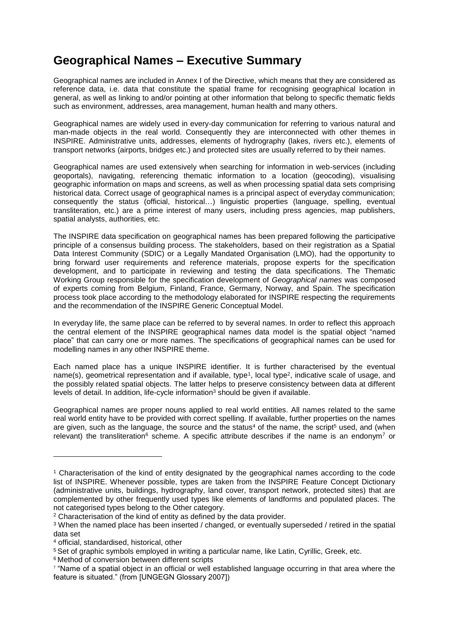## **Geographical Names – Executive Summary**

Geographical names are included in Annex I of the Directive, which means that they are considered as reference data, i.e. data that constitute the spatial frame for recognising geographical location in general, as well as linking to and/or pointing at other information that belong to specific thematic fields such as environment, addresses, area management, human health and many others.

Geographical names are widely used in every-day communication for referring to various natural and man-made objects in the real world. Consequently they are interconnected with other themes in INSPIRE. Administrative units, addresses, elements of hydrography (lakes, rivers etc.), elements of transport networks (airports, bridges etc.) and protected sites are usually referred to by their names.

Geographical names are used extensively when searching for information in web-services (including geoportals), navigating, referencing thematic information to a location (geocoding), visualising geographic information on maps and screens, as well as when processing spatial data sets comprising historical data. Correct usage of geographical names is a principal aspect of everyday communication; consequently the status (official, historical…) linguistic properties (language, spelling, eventual transliteration, etc.) are a prime interest of many users, including press agencies, map publishers, spatial analysts, authorities, etc.

The INSPIRE data specification on geographical names has been prepared following the participative principle of a consensus building process. The stakeholders, based on their registration as a Spatial Data Interest Community (SDIC) or a Legally Mandated Organisation (LMO), had the opportunity to bring forward user requirements and reference materials, propose experts for the specification development, and to participate in reviewing and testing the data specifications. The Thematic Working Group responsible for the specification development of *Geographical names* was composed of experts coming from Belgium, Finland, France, Germany, Norway, and Spain. The specification process took place according to the methodology elaborated for INSPIRE respecting the requirements and the recommendation of the INSPIRE Generic Conceptual Model.

In everyday life, the same place can be referred to by several names. In order to reflect this approach the central element of the INSPIRE geographical names data model is the spatial object "named place" that can carry one or more names. The specifications of geographical names can be used for modelling names in any other INSPIRE theme.

Each named place has a unique INSPIRE identifier. It is further characterised by the eventual name(s), geometrical representation and if available, type<sup>1</sup>, local type<sup>2</sup>, indicative scale of usage, and the possibly related spatial objects. The latter helps to preserve consistency between data at different levels of detail. In addition, life-cycle information<sup>3</sup> should be given if available.

Geographical names are proper nouns applied to real world entities. All names related to the same real world entity have to be provided with correct spelling. If available, further properties on the names are given, such as the language, the source and the status<sup>4</sup> of the name, the script<sup>5</sup> used, and (when relevant) the transliteration<sup>6</sup> scheme. A specific attribute describes if the name is an endonym<sup>7</sup> or

-

<sup>1</sup> Characterisation of the kind of entity designated by the geographical names according to the code list of INSPIRE. Whenever possible, types are taken from the INSPIRE Feature Concept Dictionary (administrative units, buildings, hydrography, land cover, transport network, protected sites) that are complemented by other frequently used types like elements of landforms and populated places. The not categorised types belong to the Other category.

<sup>&</sup>lt;sup>2</sup> Characterisation of the kind of entity as defined by the data provider.

<sup>3</sup> When the named place has been inserted / changed, or eventually superseded / retired in the spatial data set

<sup>4</sup> official, standardised, historical, other

<sup>5</sup> Set of graphic symbols employed in writing a particular name, like Latin, Cyrillic, Greek, etc.

<sup>6</sup> Method of conversion between different scripts

<sup>7</sup> "Name of a spatial object in an official or well established language occurring in that area where the feature is situated." (from [UNGEGN Glossary 2007])